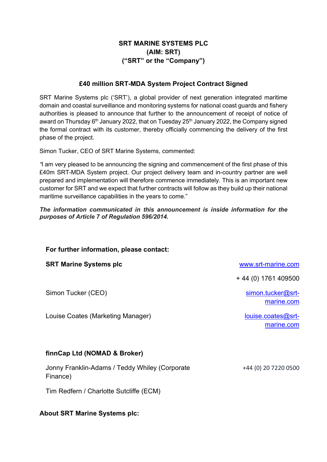## SRT MARINE SYSTEMS PLC (AIM: SRT) ("SRT" or the "Company")

## £40 million SRT-MDA System Project Contract Signed

SRT Marine Systems plc ('SRT'), a global provider of next generation integrated maritime domain and coastal surveillance and monitoring systems for national coast guards and fishery authorities is pleased to announce that further to the announcement of receipt of notice of award on Thursday  $6<sup>th</sup>$  January 2022, that on Tuesday 25<sup>th</sup> January 2022, the Company signed the formal contract with its customer, thereby officially commencing the delivery of the first phase of the project.

Simon Tucker, CEO of SRT Marine Systems, commented:

"I am very pleased to be announcing the signing and commencement of the first phase of this £40m SRT-MDA System project. Our project delivery team and in-country partner are well prepared and implementation will therefore commence immediately. This is an important new customer for SRT and we expect that further contracts will follow as they build up their national maritime surveillance capabilities in the years to come."

The information communicated in this announcement is inside information for the purposes of Article 7 of Regulation 596/2014.

| For further information, please contact:       |                                  |
|------------------------------------------------|----------------------------------|
| <b>SRT Marine Systems plc</b>                  | www.srt-marine.com               |
|                                                | $+44(0)$ 1761 409500             |
| Simon Tucker (CEO)                             | simon.tucker@srt-<br>marine.com  |
| Louise Coates (Marketing Manager)              | louise.coates@srt-<br>marine.com |
| finnCap Ltd (NOMAD & Broker)                   |                                  |
| Jonny Franklin-Adams / Teddy Whiley (Corporate | +44 (0) 20 7220 0500             |

About SRT Marine Systems plc:

Tim Redfern / Charlotte Sutcliffe (ECM)

Finance)